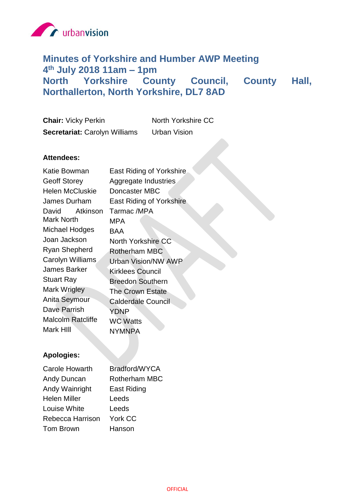

# **Minutes of Yorkshire and Humber AWP Meeting 4 th July 2018 11am – 1pm North Yorkshire County Council, County Hall, Northallerton, North Yorkshire, DL7 8AD**

| <b>Chair: Vicky Perkin</b>           | North Yorkshire CC  |
|--------------------------------------|---------------------|
| <b>Secretariat: Carolyn Williams</b> | <b>Urban Vision</b> |

# **Attendees:**

| Katie Bowman             | <b>East Riding of Yorkshire</b> |
|--------------------------|---------------------------------|
| <b>Geoff Storey</b>      | Aggregate Industries            |
| <b>Helen McCluskie</b>   | Doncaster MBC                   |
| James Durham             | East Riding of Yorkshire        |
| Atkinson<br>David        | Tarmac /MPA                     |
| Mark North               | MPA                             |
| Michael Hodges           | BAA                             |
| Joan Jackson             | North Yorkshire CC              |
| Ryan Shepherd            | Rotherham MBC                   |
| Carolyn Williams         | <b>Urban Vision/NW AWP</b>      |
| James Barker             | <b>Kirklees Council</b>         |
| <b>Stuart Ray</b>        | <b>Breedon Southern</b>         |
| Mark Wrigley             | <b>The Crown Estate</b>         |
| Anita Seymour            | <b>Calderdale Council</b>       |
| Dave Parrish             | YDNP                            |
| <b>Malcolm Ratcliffe</b> | <b>WC Watts</b>                 |
| Mark HIII                | NYMNPA                          |
|                          |                                 |

# **Apologies:**

| Bradford/WYCA        |
|----------------------|
| <b>Rotherham MBC</b> |
| <b>East Riding</b>   |
| Leeds                |
| Leeds                |
| York CC              |
| Hanson               |
|                      |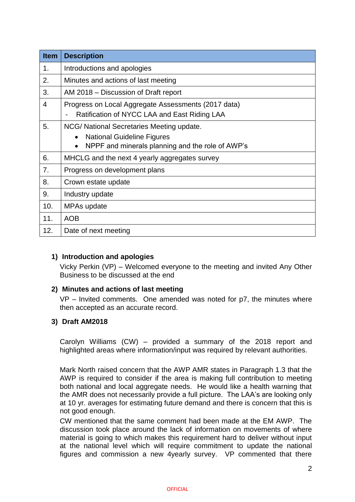| <b>Item</b> | <b>Description</b>                                                                                                                                           |
|-------------|--------------------------------------------------------------------------------------------------------------------------------------------------------------|
| 1.          | Introductions and apologies                                                                                                                                  |
| 2.          | Minutes and actions of last meeting                                                                                                                          |
| 3.          | AM 2018 – Discussion of Draft report                                                                                                                         |
| 4           | Progress on Local Aggregate Assessments (2017 data)<br>Ratification of NYCC LAA and East Riding LAA                                                          |
| 5.          | NCG/ National Secretaries Meeting update.<br><b>National Guideline Figures</b><br>$\bullet$<br>NPPF and minerals planning and the role of AWP's<br>$\bullet$ |
| 6.          | MHCLG and the next 4 yearly aggregates survey                                                                                                                |
| 7.          | Progress on development plans                                                                                                                                |
| 8.          | Crown estate update                                                                                                                                          |
| 9.          | Industry update                                                                                                                                              |
| 10.         | MPAs update                                                                                                                                                  |
| 11.         | <b>AOB</b>                                                                                                                                                   |
| 12.         | Date of next meeting                                                                                                                                         |

#### **1) Introduction and apologies**

Vicky Perkin (VP) – Welcomed everyone to the meeting and invited Any Other Business to be discussed at the end

#### **2) Minutes and actions of last meeting**

VP – Invited comments. One amended was noted for p7, the minutes where then accepted as an accurate record.

#### **3) Draft AM2018**

Carolyn Williams (CW) – provided a summary of the 2018 report and highlighted areas where information/input was required by relevant authorities.

Mark North raised concern that the AWP AMR states in Paragraph 1.3 that the AWP is required to consider if the area is making full contribution to meeting both national and local aggregate needs. He would like a health warning that the AMR does not necessarily provide a full picture. The LAA's are looking only at 10 yr. averages for estimating future demand and there is concern that this is not good enough.

CW mentioned that the same comment had been made at the EM AWP. The discussion took place around the lack of information on movements of where material is going to which makes this requirement hard to deliver without input at the national level which will require commitment to update the national figures and commission a new 4yearly survey. VP commented that there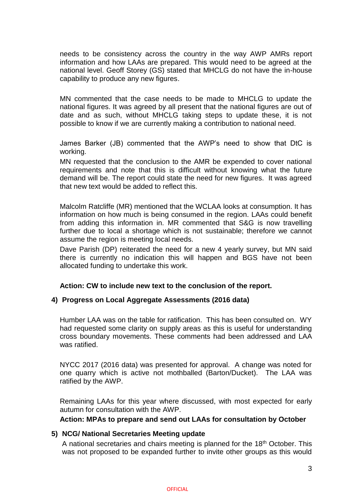needs to be consistency across the country in the way AWP AMRs report information and how LAAs are prepared. This would need to be agreed at the national level. Geoff Storey (GS) stated that MHCLG do not have the in-house capability to produce any new figures.

MN commented that the case needs to be made to MHCLG to update the national figures. It was agreed by all present that the national figures are out of date and as such, without MHCLG taking steps to update these, it is not possible to know if we are currently making a contribution to national need.

James Barker (JB) commented that the AWP's need to show that DtC is working.

MN requested that the conclusion to the AMR be expended to cover national requirements and note that this is difficult without knowing what the future demand will be. The report could state the need for new figures. It was agreed that new text would be added to reflect this.

Malcolm Ratcliffe (MR) mentioned that the WCLAA looks at consumption. It has information on how much is being consumed in the region. LAAs could benefit from adding this information in. MR commented that S&G is now travelling further due to local a shortage which is not sustainable; therefore we cannot assume the region is meeting local needs.

Dave Parish (DP) reiterated the need for a new 4 yearly survey, but MN said there is currently no indication this will happen and BGS have not been allocated funding to undertake this work.

**Action: CW to include new text to the conclusion of the report.**

#### **4) Progress on Local Aggregate Assessments (2016 data)**

Humber LAA was on the table for ratification. This has been consulted on. WY had requested some clarity on supply areas as this is useful for understanding cross boundary movements. These comments had been addressed and LAA was ratified.

NYCC 2017 (2016 data) was presented for approval. A change was noted for one quarry which is active not mothballed (Barton/Ducket). The LAA was ratified by the AWP.

Remaining LAAs for this year where discussed, with most expected for early autumn for consultation with the AWP.

**Action: MPAs to prepare and send out LAAs for consultation by October**

#### **5) NCG/ National Secretaries Meeting update**

A national secretaries and chairs meeting is planned for the 18<sup>th</sup> October. This was not proposed to be expanded further to invite other groups as this would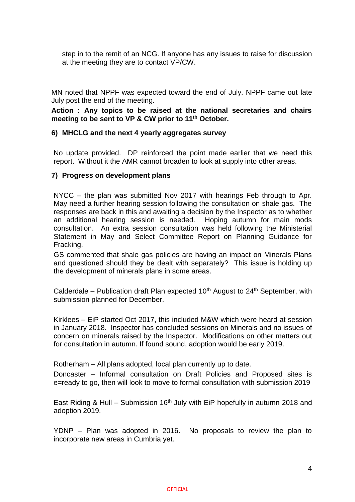step in to the remit of an NCG. If anyone has any issues to raise for discussion at the meeting they are to contact VP/CW.

MN noted that NPPF was expected toward the end of July. NPPF came out late July post the end of the meeting.

**Action : Any topics to be raised at the national secretaries and chairs meeting to be sent to VP & CW prior to 11th October.**

#### **6) MHCLG and the next 4 yearly aggregates survey**

No update provided. DP reinforced the point made earlier that we need this report. Without it the AMR cannot broaden to look at supply into other areas.

#### **7) Progress on development plans**

NYCC – the plan was submitted Nov 2017 with hearings Feb through to Apr. May need a further hearing session following the consultation on shale gas. The responses are back in this and awaiting a decision by the Inspector as to whether an additional hearing session is needed. Hoping autumn for main mods consultation. An extra session consultation was held following the Ministerial Statement in May and Select Committee Report on Planning Guidance for Fracking.

GS commented that shale gas policies are having an impact on Minerals Plans and questioned should they be dealt with separately? This issue is holding up the development of minerals plans in some areas.

Calderdale – Publication draft Plan expected  $10<sup>th</sup>$  August to  $24<sup>th</sup>$  September, with submission planned for December.

Kirklees – EiP started Oct 2017, this included M&W which were heard at session in January 2018. Inspector has concluded sessions on Minerals and no issues of concern on minerals raised by the Inspector. Modifications on other matters out for consultation in autumn. If found sound, adoption would be early 2019.

Rotherham – All plans adopted, local plan currently up to date.

Doncaster – Informal consultation on Draft Policies and Proposed sites is e=ready to go, then will look to move to formal consultation with submission 2019

East Riding & Hull – Submission 16<sup>th</sup> July with EiP hopefully in autumn 2018 and adoption 2019.

YDNP – Plan was adopted in 2016. No proposals to review the plan to incorporate new areas in Cumbria yet.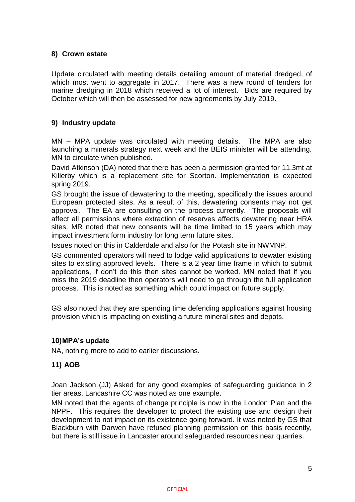# **8) Crown estate**

Update circulated with meeting details detailing amount of material dredged, of which most went to aggregate in 2017. There was a new round of tenders for marine dredging in 2018 which received a lot of interest. Bids are required by October which will then be assessed for new agreements by July 2019.

# **9) Industry update**

MN – MPA update was circulated with meeting details. The MPA are also launching a minerals strategy next week and the BEIS minister will be attending. MN to circulate when published.

David Atkinson (DA) noted that there has been a permission granted for 11.3mt at Killerby which is a replacement site for Scorton. Implementation is expected spring 2019.

GS brought the issue of dewatering to the meeting, specifically the issues around European protected sites. As a result of this, dewatering consents may not get approval. The EA are consulting on the process currently. The proposals will affect all permissions where extraction of reserves affects dewatering near HRA sites. MR noted that new consents will be time limited to 15 years which may impact investment form industry for long term future sites.

Issues noted on this in Calderdale and also for the Potash site in NWMNP.

GS commented operators will need to lodge valid applications to dewater existing sites to existing approved levels. There is a 2 year time frame in which to submit applications, if don't do this then sites cannot be worked. MN noted that if you miss the 2019 deadline then operators will need to go through the full application process. This is noted as something which could impact on future supply.

GS also noted that they are spending time defending applications against housing provision which is impacting on existing a future mineral sites and depots.

#### **10)MPA's update**

NA, nothing more to add to earlier discussions.

#### **11) AOB**

Joan Jackson (JJ) Asked for any good examples of safeguarding guidance in 2 tier areas. Lancashire CC was noted as one example.

MN noted that the agents of change principle is now in the London Plan and the NPPF. This requires the developer to protect the existing use and design their development to not impact on its existence going forward. It was noted by GS that Blackburn with Darwen have refused planning permission on this basis recently, but there is still issue in Lancaster around safeguarded resources near quarries.